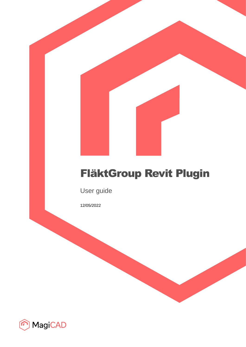# FläktGroup Revit Plugin

User guide

12/05/2022

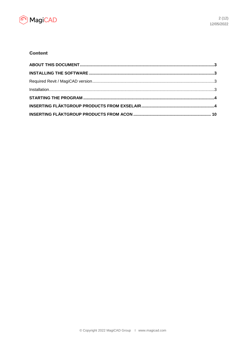

## **Content**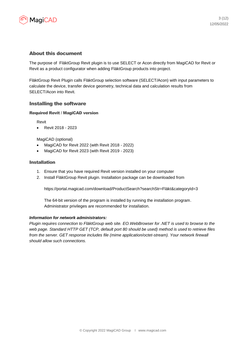

## About this document

The purpose of FläktGroup Revit plugin is to use SELECT or Acon directly from MagiCAD for Revit or Revit as a product configurator when adding FläktGroup products into project.

FläktGroup Revit Plugin calls FläktGroup selection software (SELECT/Acon) with input parameters to calculate the device, transfer device geometry, technical data and calculation results from SELECT/Acon into Revit.

#### Installing the software

#### Required Revit / MagiCAD version

Revit

• Revit 2018 - 2023

#### MagiCAD (optional)

- MagiCAD for Revit 2022 (with Revit 2018 2022)
- MagiCAD for Revit 2023 (with Revit 2019 2023)

#### Installation

- 1. Ensure that you have required Revit version installed on your computer
- 2. Install FläktGroup Revit plugin. Installation package can be downloaded from

https://portal.magicad.com/download/ProductSearch?searchStr=Fläkt&categoryId=3

The 64-bit version of the program is installed by running the installation program. Administrator privileges are recommended for installation.

#### *Information for network administrators:*

*Plugin requires connection to FläktGroup web site. EO.WebBrowser for .NET is used to browse to the web page. Standard HTTP GET (TCP, default port 80 should be used) method is used to retrieve files from the server. GET response includes file (mime application/octet-stream). Your network firewall should allow such connections.*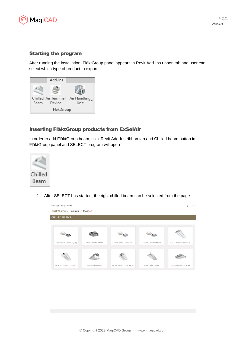

# Starting the program

After running the installation, FläktGroup panel appears in Revit Add-Ins ribbon tab and user can select which type of product to export.



# Inserting FläktGroup products from ExSelAir

In order to add FläktGroup beam, click Revit Add-Ins ribbon tab and Chilled beam button in FläktGroup panel and SELECT program will open



1. After SELECT has started, the right chilled beam can be selected from the page.

| LYRA CHILLED BEAM | STELLA EXPOSED CHILLE                            |                                           |
|-------------------|--------------------------------------------------|-------------------------------------------|
|                   |                                                  |                                           |
| IQHC Chilled Beam | SILENCIA CHILLED BEAM                            |                                           |
|                   | LYRA II CHILLED BEAM<br>WEGA II CHILLED BEAM (I. | LYRA II CHILLED BEAM<br>IQSA Chilled Beam |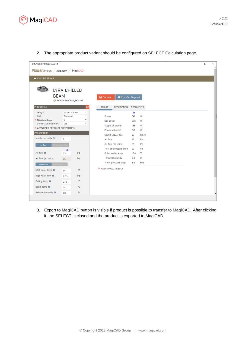

2. The appropriate product variant should be configured on SELECT Calculation page.

| FlaktGroup Revit Plugin 2020.1.1             |                                                                        |                                     |                            |        |  | $\Box$ | $\times$ |
|----------------------------------------------|------------------------------------------------------------------------|-------------------------------------|----------------------------|--------|--|--------|----------|
| <b>Fläkt</b> Group / <b>select</b> / MagiCAD |                                                                        |                                     |                            |        |  |        |          |
|                                              |                                                                        |                                     |                            |        |  |        |          |
| ← CHILLED BEAMS                              |                                                                        |                                     |                            |        |  |        |          |
|                                              |                                                                        |                                     |                            |        |  |        |          |
|                                              | LYRA CHILLED                                                           |                                     |                            |        |  |        |          |
| <b>BEAM</b>                                  |                                                                        | <b>B</b> Calculate                  | <b>B</b> Export to Magicad |        |  |        |          |
|                                              | IQCB-060-12-1-06-0_3-3-3-3                                             |                                     |                            |        |  |        |          |
| <b>PROPERTIES</b>                            | ø                                                                      | <b>RESULT</b><br><b>DESCRIPTION</b> | <b>DOCUMENTS</b>           |        |  |        |          |
| Length:<br>Coil:                             | 60 cm / 2 feet<br>$\pmb{\mathrm{v}}$<br>Standard<br>$\pmb{\mathrm{v}}$ |                                     | 楽<br>641                   |        |  |        |          |
| Nozzle settings                              | 3<br>$\pmb{\mathrm{v}}$                                                | Power<br>Coil power                 | 506                        | W<br>W |  |        |          |
| Connection diameter:                         | 125<br>$\pmb{\mathrm{v}}$                                              | Supply air power                    | 135                        | W      |  |        |          |
| ADVANCED PRODUCT PROPERTIES                  |                                                                        | Power (all units)                   | 641                        | W      |  |        |          |
| <b>PARAMETERS</b>                            |                                                                        | Sound Lp10A dBA                     | 20                         | dB(A)  |  |        |          |
| Number of units <b>O</b>                     | $\mathbf{1}$                                                           | Air flow                            | 25                         | 1/s    |  |        |          |
| Air flow                                     |                                                                        | Air flow (all units)                | 25                         | 1/s    |  |        |          |
|                                              | 来                                                                      | Total air pressure drop             | 90                         | Pa     |  |        |          |
| Air flow <sup>®</sup>                        | 1/s<br>25                                                              | Outlet water temp                   | 16.4                       | ۰c     |  |        |          |
| Air flow (all units)                         | 1/s<br>25                                                              | Throw length LO2                    | 3.2                        | m      |  |        |          |
| Water flow                                   |                                                                        | Water pressure drop                 | 5.2                        | kPa    |  |        |          |
| Inlet water temp <sup>6</sup>                | ۰C<br>14                                                               | ADDITIONAL RESULT                   |                            |        |  |        |          |
| Inlet water flow $\bigcirc$                  | 1/s<br>0.05                                                            |                                     |                            |        |  |        |          |
| Ceiling temp <sup>O</sup>                    | °C<br>24.5                                                             |                                     |                            |        |  |        |          |
| Room temp <sup>O</sup>                       | ۰C<br>24                                                               |                                     |                            |        |  |        |          |
| Relative humidity <b>O</b>                   | %<br>50                                                                |                                     |                            |        |  |        |          |
|                                              |                                                                        |                                     |                            |        |  |        |          |

3. Export to MagiCAD button is visible if product is possible to transfer to MagiCAD. After clicking it, the SELECT is closed and the product is exported to MagiCAD.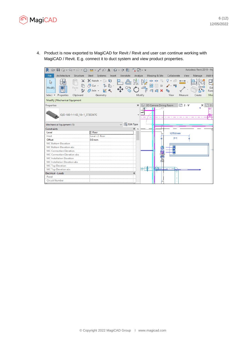

4. Product is now exported to MagiCAD for Revit / Revit and user can continue working with MagiCAD / Revit. E.g. connect it to duct system and view product properties.

| R                                                      |                                                                                                  |                                    |                                               | Autodesk Revit 2019 - No |             |
|--------------------------------------------------------|--------------------------------------------------------------------------------------------------|------------------------------------|-----------------------------------------------|--------------------------|-------------|
| File<br>Architecture<br>Structure                      | Steel<br>Systems Insert Annotate                                                                 | Analyze                            | Massing & Site<br>Collaborate                 | View<br>Manage           | Add-Ir      |
| X.<br>$\mathbb{Z}$<br>Paste<br>Modify<br>₽             | $K$ Notch $\cdot$ $\Box$ $\Box$<br>ெய் - "≞ 0ரே -<br>$\bigoplus$ Join $\cdot$ $\mathbb{R}$ $\ll$ | 嘂<br>퀴 릨                           | de de V<br>g -<br>命<br>$\Box$<br>$\mathbf{x}$ |                          | Edi<br>Fami |
| Properties<br>Clipboard<br>Select $\blacktriangledown$ | Geometry                                                                                         | Modify                             | View                                          | Measure<br>Create        | Mod         |
| Modify   Mechanical Equipment                          |                                                                                                  |                                    |                                               |                          |             |
| Properties<br>IQID-180-1-1-02_18+1_573ED67C            |                                                                                                  | ×                                  | 3D Camera Dining Room                         | □ 2 - V<br>$\times$      | <b>白3</b>   |
| Mechanical Equipment (1)                               |                                                                                                  | $\sim$ $\frac{100}{100}$ Edit Type |                                               |                          |             |
| Constraints                                            |                                                                                                  | ⋩                                  |                                               |                          |             |
| Level                                                  | 2. floor                                                                                         |                                    | 1275.0 mm                                     |                          |             |
| Host                                                   | Level: 2. floor                                                                                  |                                    | ⊢⊣                                            |                          |             |
| Offset                                                 | 0.0 <sub>mm</sub>                                                                                |                                    |                                               |                          |             |
| <b>MC Bottom Elevation</b>                             |                                                                                                  |                                    |                                               |                          |             |
| MC Bottom Elevation abs                                |                                                                                                  |                                    | 雷诺                                            |                          |             |
| <b>MC Connection Elevation</b>                         |                                                                                                  |                                    |                                               |                          |             |
| MC Connection Elevation abs                            |                                                                                                  |                                    |                                               |                          |             |
| <b>MC</b> Installation Elevation                       |                                                                                                  |                                    |                                               |                          |             |
| MC Installation Elevation abs                          |                                                                                                  |                                    | Ôu                                            |                          |             |
| <b>MC Top Elevation</b>                                |                                                                                                  |                                    |                                               |                          |             |
| MC Top Elevation abs                                   |                                                                                                  |                                    | <u>ka</u>                                     |                          |             |
| <b>Electrical - Loads</b>                              |                                                                                                  |                                    |                                               |                          |             |
| Panel                                                  |                                                                                                  |                                    |                                               |                          |             |
| <b>Circuit Number</b>                                  |                                                                                                  |                                    |                                               |                          |             |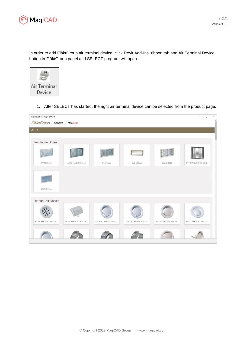

In order to add FläktGroup air terminal device, click Revit Add-Ins ribbon tab and Air Terminal Device button in FläktGroup panel and SELECT program will open



1. After SELECT has started, the right air terminal device can be selected from the product page.

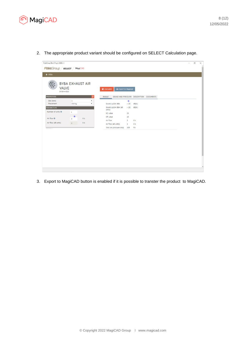

2. The appropriate product variant should be configured on SELECT Calculation page.

| <b>BYBA EXHAUST AIR</b><br><b>VALVE</b><br>B Export to Magicad<br><b>E</b> Calculate<br>BYBA-4-010<br><b>PROPERTIES</b><br>$\circ$<br><b>RESULT</b><br>SOUND AND PRESSURE DESCRIPTION DOCUMENTS<br>Slot [mm]:<br>$1\,$<br>$\pmb{\cdot}$<br>串<br>۰<br>Placement:<br>Ceiling<br>Sound Lp10A dBA<br>< 20<br>dB(A)<br>Sound Lp10A dBA (all<br><20<br>dB(A)<br><b>PARAMETERS</b><br>units)<br>Number of units O<br>$\mathbf{1}$<br>NC value<br>15<br>乐<br>NR value<br>15<br>Air flow <sup>®</sup><br>1/s<br>3<br>Air flow<br>$\mathfrak{Z}$<br>1/s<br>Air flow (all units)<br>1/s<br>$3-1$<br>Air flow (all units)<br>$\overline{\mathbf{3}}$<br>1/s<br>Total air pressure drop<br>169<br>Pa<br>Version 1 | FlaktGroup Revit Plugin 2020.1.1<br>FläktGroup / SELECT / MagiCAD<br>$\leftarrow$ ATDs |  |  |  |  |  |
|------------------------------------------------------------------------------------------------------------------------------------------------------------------------------------------------------------------------------------------------------------------------------------------------------------------------------------------------------------------------------------------------------------------------------------------------------------------------------------------------------------------------------------------------------------------------------------------------------------------------------------------------------------------------------------------------------|----------------------------------------------------------------------------------------|--|--|--|--|--|
|                                                                                                                                                                                                                                                                                                                                                                                                                                                                                                                                                                                                                                                                                                      |                                                                                        |  |  |  |  |  |
|                                                                                                                                                                                                                                                                                                                                                                                                                                                                                                                                                                                                                                                                                                      |                                                                                        |  |  |  |  |  |
|                                                                                                                                                                                                                                                                                                                                                                                                                                                                                                                                                                                                                                                                                                      |                                                                                        |  |  |  |  |  |
|                                                                                                                                                                                                                                                                                                                                                                                                                                                                                                                                                                                                                                                                                                      |                                                                                        |  |  |  |  |  |
|                                                                                                                                                                                                                                                                                                                                                                                                                                                                                                                                                                                                                                                                                                      |                                                                                        |  |  |  |  |  |
|                                                                                                                                                                                                                                                                                                                                                                                                                                                                                                                                                                                                                                                                                                      |                                                                                        |  |  |  |  |  |
|                                                                                                                                                                                                                                                                                                                                                                                                                                                                                                                                                                                                                                                                                                      |                                                                                        |  |  |  |  |  |
|                                                                                                                                                                                                                                                                                                                                                                                                                                                                                                                                                                                                                                                                                                      |                                                                                        |  |  |  |  |  |
|                                                                                                                                                                                                                                                                                                                                                                                                                                                                                                                                                                                                                                                                                                      |                                                                                        |  |  |  |  |  |
|                                                                                                                                                                                                                                                                                                                                                                                                                                                                                                                                                                                                                                                                                                      |                                                                                        |  |  |  |  |  |
|                                                                                                                                                                                                                                                                                                                                                                                                                                                                                                                                                                                                                                                                                                      |                                                                                        |  |  |  |  |  |
|                                                                                                                                                                                                                                                                                                                                                                                                                                                                                                                                                                                                                                                                                                      |                                                                                        |  |  |  |  |  |
|                                                                                                                                                                                                                                                                                                                                                                                                                                                                                                                                                                                                                                                                                                      |                                                                                        |  |  |  |  |  |
|                                                                                                                                                                                                                                                                                                                                                                                                                                                                                                                                                                                                                                                                                                      |                                                                                        |  |  |  |  |  |
|                                                                                                                                                                                                                                                                                                                                                                                                                                                                                                                                                                                                                                                                                                      |                                                                                        |  |  |  |  |  |
|                                                                                                                                                                                                                                                                                                                                                                                                                                                                                                                                                                                                                                                                                                      |                                                                                        |  |  |  |  |  |
|                                                                                                                                                                                                                                                                                                                                                                                                                                                                                                                                                                                                                                                                                                      |                                                                                        |  |  |  |  |  |

3. Export to MagiCAD button is enabled if it is possible to transter the product to MagiCAD.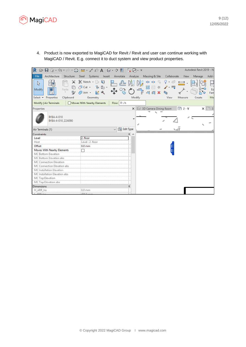

4. Product is now exported to MagiCAD for Revit / Revit and user can continue working with MagiCAD / Revit. E.g. connect it to duct system and view product properties.

| ☞ ▤ ◎ - ୠ - ∂ - ⊜│ <b>∺</b> - ♂ <i>◎</i> A│ଡ - ◇ ∄⊟ 많 ;;; -                                  |                                                                                          |                      |          |                                  |             |               | Autodesk Revit 2019 - No |                           |
|----------------------------------------------------------------------------------------------|------------------------------------------------------------------------------------------|----------------------|----------|----------------------------------|-------------|---------------|--------------------------|---------------------------|
| Architecture<br>File<br>Structure                                                            | Steel<br>Systems Insert                                                                  | Annotate             | Analyze  | Massing & Site                   | Collaborate | View          | Manage                   | Add-l                     |
| ⋇<br>$\mathbb{R}$<br>Modify<br>Paste<br>Select $\blacktriangleright$ Properties<br>Clipboard | $\mathbb{R}$ Notch $\mathbb{R}$<br>g<br>'≞ 0ா<br>♂ Cut →<br>R<br>Join +<br>Æ<br>Geometry |                      | Modify   | dja dja<br>昍<br>$\Box$<br>킈<br>킐 | View        | Measure       | Create                   | Ed<br>Fam<br>Mo           |
| Modify   Air Terminals                                                                       | Moves With Nearby Elements                                                               | Flow: 0 L/s          |          |                                  |             |               |                          |                           |
| Properties                                                                                   |                                                                                          |                      | $\times$ | 3D Camera Dining Room            |             | هي<br>$2 - V$ |                          | $\times$ $\blacksquare$ 3 |
| BYBA-4-010<br>BYBA-4-010_22A090                                                              |                                                                                          |                      |          |                                  |             |               |                          |                           |
| Air Terminals (1)                                                                            |                                                                                          | <b>End</b> Edit Type |          |                                  |             |               |                          |                           |
| Constraints                                                                                  |                                                                                          |                      | ☆        |                                  |             |               |                          |                           |
| Level                                                                                        | 2. floor                                                                                 |                      |          |                                  |             |               |                          |                           |
| Host                                                                                         | Level: 2. floor                                                                          |                      |          |                                  |             |               |                          |                           |
| Offset                                                                                       | 0.0 <sub>mm</sub>                                                                        |                      |          |                                  |             |               |                          |                           |
| Moves With Nearby Elements                                                                   |                                                                                          |                      |          |                                  |             |               |                          |                           |
| <b>MC Bottom Elevation</b>                                                                   |                                                                                          |                      |          |                                  |             |               |                          |                           |
| MC Bottom Elevation abs                                                                      |                                                                                          |                      |          |                                  |             |               |                          |                           |
| <b>MC Connection Elevation</b>                                                               |                                                                                          |                      |          |                                  |             |               |                          |                           |
| MC Connection Elevation abs                                                                  |                                                                                          |                      |          |                                  |             |               |                          |                           |
| <b>MC</b> Installation Elevation                                                             |                                                                                          |                      |          |                                  |             |               |                          |                           |
| MC Installation Elevation abs<br><b>MC Top Elevation</b>                                     |                                                                                          |                      |          |                                  |             |               |                          |                           |
| MC Top Elevation abs                                                                         |                                                                                          |                      |          |                                  |             |               |                          |                           |
| <b>Dimensions</b>                                                                            |                                                                                          |                      | ⋩        |                                  |             |               |                          |                           |
| H_ARR_Ins                                                                                    | $0.0 \text{ mm}$                                                                         |                      |          |                                  |             |               |                          |                           |
| $I$ ADD $In-$                                                                                | $AODB = 0$                                                                               |                      |          |                                  |             |               |                          |                           |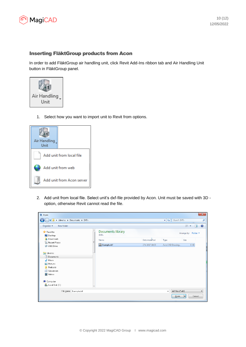

## Inserting FläktGroup products from Acon

In order to add FläktGroup air handling unit, click Revit Add-Ins ribbon tab and Air Handling Unit button in FläktGroup panel.



1. Select how you want to import unit to Revit from options.



2. Add unit from local file. Select unit's dxf-file provided by Acon. Unit must be saved with 3D option, otherwise Revit cannot read the file.

| R Open                                                                                                        |   |                                  |                 |                          |                                 |                      | $\mathbf{x}$ |
|---------------------------------------------------------------------------------------------------------------|---|----------------------------------|-----------------|--------------------------|---------------------------------|----------------------|--------------|
| I Libraries I Documents I DXFs                                                                                |   |                                  |                 | $+$<br>$\mathbf{v}$      | Search DXFs                     |                      | م            |
| Organize v<br>New folder                                                                                      |   |                                  |                 |                          | 888 -                           | ш                    | $\bullet$    |
| Favorites<br>Desktop                                                                                          |   | Documents library<br><b>DXFs</b> |                 |                          |                                 | Arrange by: Folder ▼ |              |
| Downloads                                                                                                     |   | Name                             | Date modified   | Type                     | Size                            |                      |              |
| <b>E.</b> Recent Places<br>A360 Drive                                                                         | Ξ | Example.dxf                      | 27.6.2017 10:05 |                          | AutoCAD Drawing                 | 0 KB                 |              |
| Libraries<br>Documents<br>Music<br>Pictures<br>$\blacksquare$<br>Podcasts<br>品<br>Subversion<br><b>Wideos</b> |   |                                  |                 |                          |                                 |                      |              |
| <b>IL</b> Computer                                                                                            |   |                                  |                 |                          |                                 |                      |              |
| Local Disk (C:)                                                                                               |   |                                  |                 |                          |                                 |                      |              |
| File name: Example.dxf                                                                                        |   |                                  |                 | $\overline{\phantom{a}}$ | dxf files (*.dxf)<br>Qpen<br>Iv | Cancel               | ۰.           |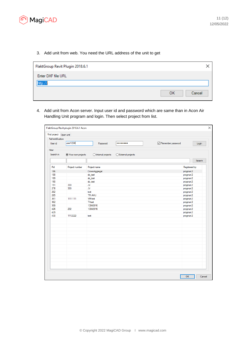

3. Add unit from web. You need the URL address of the unit to get

| FlaktGroup Revit Plugin 2018.6.1 |              |
|----------------------------------|--------------|
| Enter DXF file URL               |              |
| http://                          | ОК<br>Cancel |

4. Add unit from Acon server. Input user id and password which are same than in Acon Air Handling Unit program and login. Then select project from list.

| Find project Open unit<br>Authentification |                     |                              |                     |                   |               |
|--------------------------------------------|---------------------|------------------------------|---------------------|-------------------|---------------|
| User id                                    | user1234            | Password                     |                     | Remember password | Login         |
| Filter                                     |                     |                              |                     |                   |               |
| Search in                                  | ● Your own projects | $\bigcirc$ Internal projects | ◯ External projects |                   |               |
|                                            |                     |                              |                     |                   | Search        |
| Pid                                        | Project number      | Project name                 |                     |                   | Registered by |
| 186                                        |                     | CrownAggregat                |                     |                   | progman2      |
| 188                                        |                     | sb_test                      |                     |                   | progman2      |
| 189                                        |                     | sb_test                      |                     |                   | progman2      |
| 190                                        |                     | sb_test                      |                     |                   | progman2      |
| 191                                        | 333                 | JV                           |                     |                   | progman2      |
| 278                                        | 333                 | <b>JV</b>                    |                     |                   | progman2      |
| 282                                        |                     | test                         |                     |                   | progman2      |
| 285                                        |                     | <b>TPi AHU</b>               |                     |                   | progman2      |
| 361                                        | 1111111             | <b>VM</b> test               |                     |                   | progman2      |
| 362                                        |                     | TI test                      |                     |                   | progman2      |
| 399                                        |                     | 13042016                     |                     |                   | progman2      |
| 426                                        | 232                 | 13042016                     |                     |                   | progman2      |
| 429                                        |                     |                              |                     |                   | progman2      |
| 430                                        | 1112222             | test                         |                     |                   | progman2      |
|                                            |                     |                              |                     |                   |               |
|                                            |                     |                              |                     |                   |               |
|                                            |                     |                              |                     |                   |               |
|                                            |                     |                              |                     |                   |               |
|                                            |                     |                              |                     |                   |               |
|                                            |                     |                              |                     |                   |               |
|                                            |                     |                              |                     |                   |               |
|                                            |                     |                              |                     |                   |               |
|                                            |                     |                              |                     |                   |               |
|                                            |                     |                              |                     |                   |               |
|                                            |                     |                              |                     |                   |               |
|                                            |                     |                              |                     |                   |               |
|                                            |                     |                              |                     |                   |               |
|                                            |                     |                              |                     |                   |               |